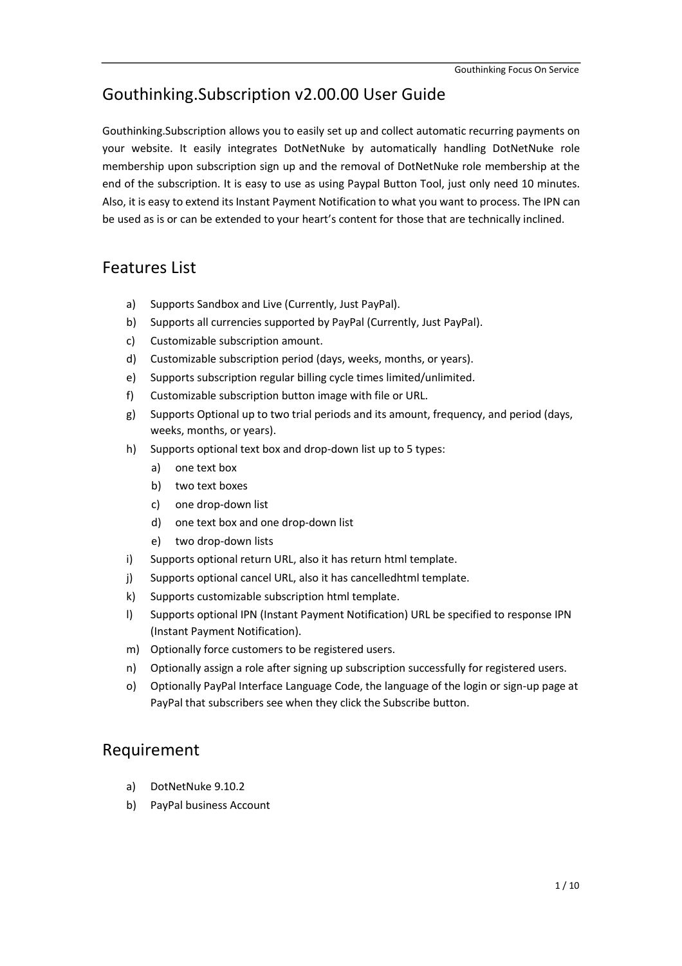## Gouthinking.Subscription v2.00.00 User Guide

Gouthinking.Subscription allows you to easily set up and collect automatic recurring payments on your website. It easily integrates DotNetNuke by automatically handling DotNetNuke role membership upon subscription sign up and the removal of DotNetNuke role membership at the end of the subscription. It is easy to use as using Paypal Button Tool, just only need 10 minutes. Also, it is easy to extend its Instant Payment Notification to what you want to process. The IPN can be used as is or can be extended to your heart's content for those that are technically inclined.

### Features List

- a) Supports Sandbox and Live (Currently, Just PayPal).
- b) Supports all currencies supported by PayPal (Currently, Just PayPal).
- c) Customizable subscription amount.
- d) Customizable subscription period (days, weeks, months, or years).
- e) Supports subscription regular billing cycle times limited/unlimited.
- f) Customizable subscription button image with file or URL.
- g) Supports Optional up to two trial periods and its amount, frequency, and period (days, weeks, months, or years).
- h) Supports optional text box and drop-down list up to 5 types:
	- a) one text box
	- b) two text boxes
	- c) one drop-down list
	- d) one text box and one drop-down list
	- e) two drop-down lists
- i) Supports optional return URL, also it has return html template.
- j) Supports optional cancel URL, also it has cancelledhtml template.
- k) Supports customizable subscription html template.
- l) Supports optional IPN (Instant Payment Notification) URL be specified to response IPN (Instant Payment Notification).
- m) Optionally force customers to be registered users.
- n) Optionally assign a role after signing up subscription successfully for registered users.
- o) Optionally PayPal Interface Language Code, the language of the login or sign-up page at PayPal that subscribers see when they click the Subscribe button.

## Requirement

- a) DotNetNuke 9.10.2
- b) PayPal business Account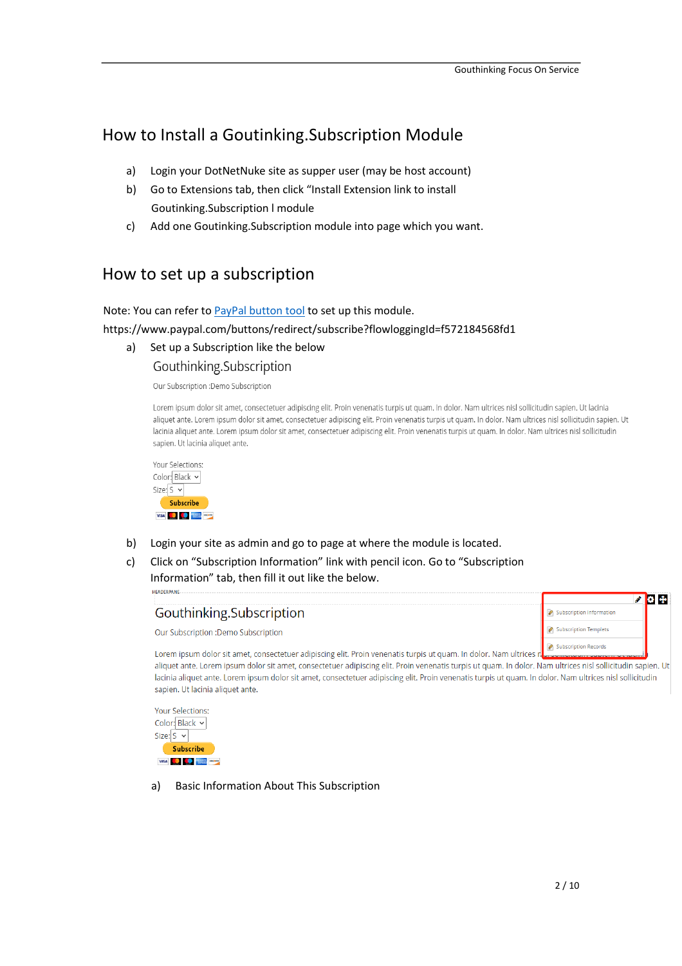# How to Install a Goutinking.Subscription Module

- a) Login your DotNetNuke site as supper user (may be host account)
- b) Go to Extensions tab, then click "Install Extension link to install Goutinking.Subscription l module
- c) Add one Goutinking.Subscription module into page which you want.

# How to set up a subscription

Note: You can refer to [PayPal button tool](https://www.paypal.com/buttons/redirect/subscribe?flowloggingId=f572184568fd1) to set up this module. https://www.paypal.com/buttons/redirect/subscribe?flowloggingId=f572184568fd1

a) Set up a Subscription like the below Gouthinking.Subscription

Our Subscription : Demo Subscription

Lorem ipsum dolor sit amet, consectetuer adipiscing elit. Proin venenatis turpis ut quam. In dolor. Nam ultrices nisl sollicitudin sapien. Ut lacinia aliquet ante. Lorem ipsum dolor sit amet, consectetuer adipiscing elit. Proin venenatis turpis ut quam. In dolor. Nam ultrices nisl sollicitudin sapien. Ut lacinia aliquet ante. Lorem ipsum dolor sit amet, consectetuer adipiscing elit. Proin venenatis turpis ut quam. In dolor. Nam ultrices nisl sollicitudin sapien. Ut lacinia aliquet ante.



- b) Login your site as admin and go to page at where the module is located.
- c) Click on "Subscription Information" link with pencil icon. Go to "Subscription Information" tab, then fill it out like the below.

HEADERDANE



Your Selections: Color: Black v Size:  $S \vee$ Subscribe VISA COMPOSITION

a) Basic Information About This Subscription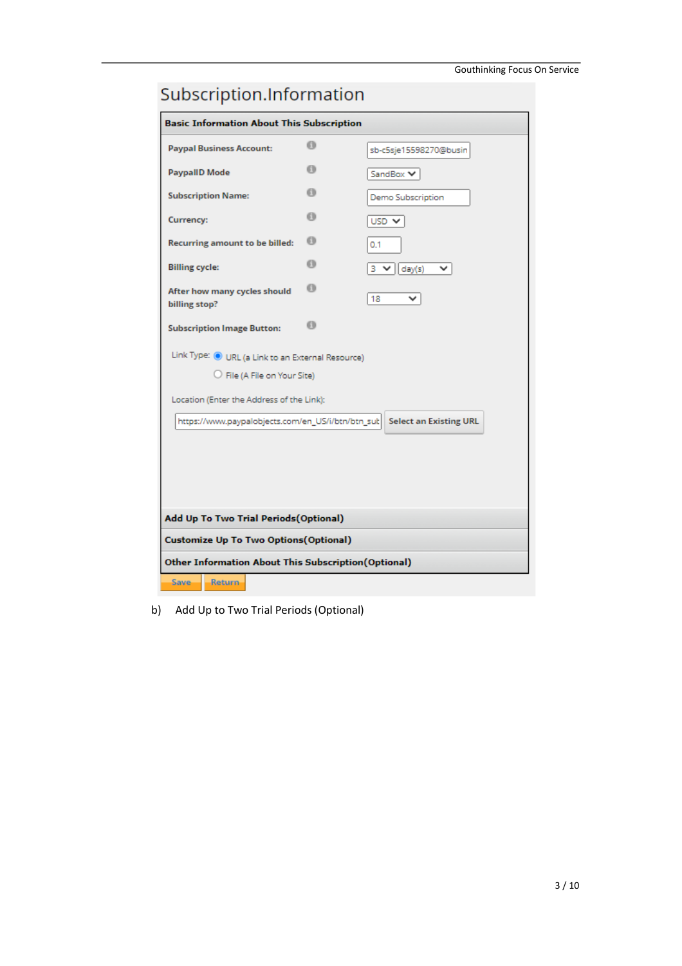| Subscription.Information                            |    |                               |  |  |  |
|-----------------------------------------------------|----|-------------------------------|--|--|--|
| <b>Basic Information About This Subscription</b>    |    |                               |  |  |  |
| <b>Paypal Business Account:</b>                     | o  | sb-c5sje15598270@busin        |  |  |  |
| <b>PaypallD Mode</b>                                | 63 | SandBox V                     |  |  |  |
| <b>Subscription Name:</b>                           | o  | Demo Subscription             |  |  |  |
| <b>Currency:</b>                                    | o  | USD <sub>V</sub>              |  |  |  |
| <b>Recurring amount to be billed:</b>               | o  | 0.1                           |  |  |  |
| <b>Billing cycle:</b>                               | G) | 3 ₩ <br>day(s)                |  |  |  |
| After how many cycles should<br>billing stop?       | G) | 18                            |  |  |  |
| <b>Subscription Image Button:</b>                   | o  |                               |  |  |  |
| Link Type: O URL (a Link to an External Resource)   |    |                               |  |  |  |
| $\bigcirc$ File (A File on Your Site)               |    |                               |  |  |  |
| Location (Enter the Address of the Link):           |    |                               |  |  |  |
| https://www.paypalobjects.com/en_US/i/btn/btn_sut   |    | <b>Select an Existing URL</b> |  |  |  |
|                                                     |    |                               |  |  |  |
|                                                     |    |                               |  |  |  |
|                                                     |    |                               |  |  |  |
| Add Up To Two Trial Periods (Optional)              |    |                               |  |  |  |
| <b>Customize Up To Two Options (Optional)</b>       |    |                               |  |  |  |
| Other Information About This Subscription(Optional) |    |                               |  |  |  |
| <b>Return</b><br>Save.                              |    |                               |  |  |  |

### b) Add Up to Two Trial Periods (Optional)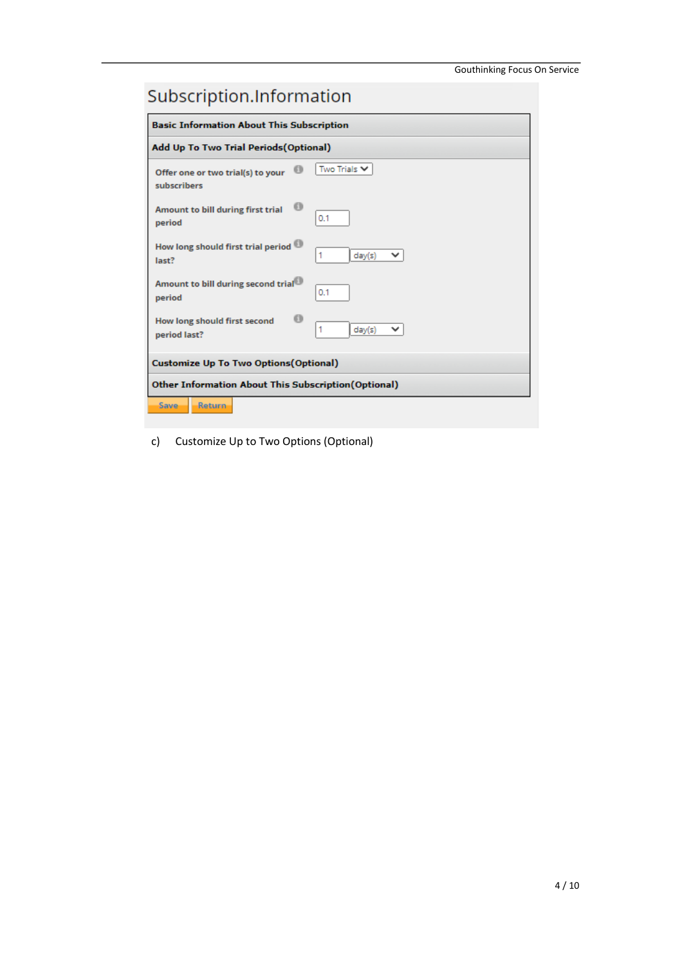# Subscription.Information

| <b>Basic Information About This Subscription</b>                      |  |  |  |  |
|-----------------------------------------------------------------------|--|--|--|--|
| Add Up To Two Trial Periods (Optional)                                |  |  |  |  |
| Two Trials $\vee$<br>Offer one or two trial(s) to your<br>subscribers |  |  |  |  |
| Amount to bill during first trial<br>0.1<br>period                    |  |  |  |  |
| How long should first trial period<br>1<br>day(s)<br>last?            |  |  |  |  |
| Amount to bill during second trial <sup>ed</sup><br>0.1<br>period     |  |  |  |  |
| ദ<br>How long should first second<br>1<br>day(s)<br>period last?      |  |  |  |  |
| <b>Customize Up To Two Options (Optional)</b>                         |  |  |  |  |
| Other Information About This Subscription(Optional)                   |  |  |  |  |
| <b>Return</b><br>Save                                                 |  |  |  |  |

c) Customize Up to Two Options (Optional)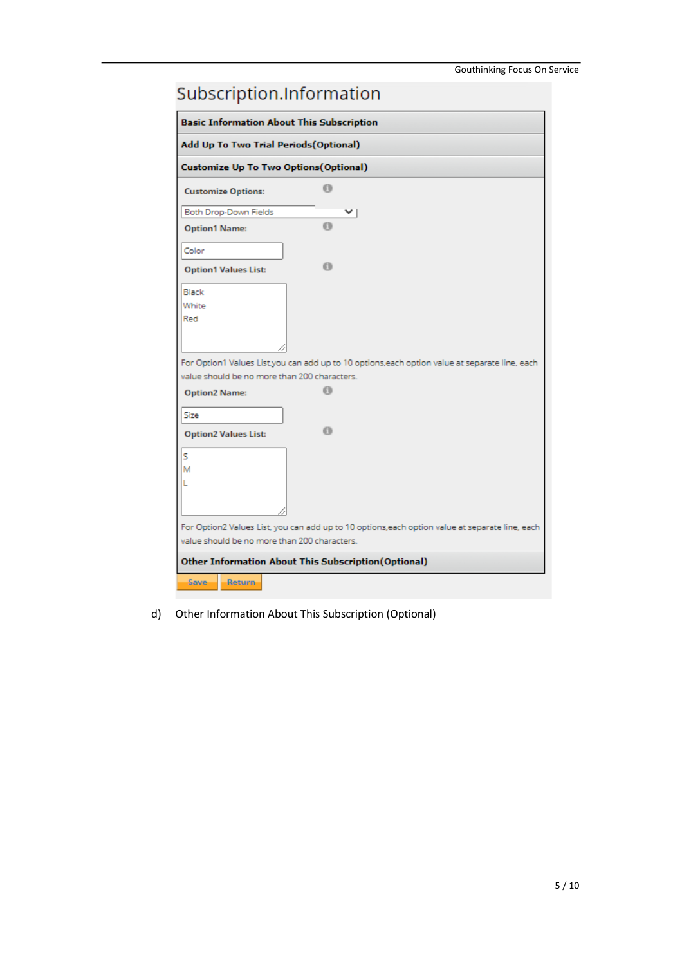| Subscription.Information                                                                       |                                                                                                 |  |  |  |
|------------------------------------------------------------------------------------------------|-------------------------------------------------------------------------------------------------|--|--|--|
| <b>Basic Information About This Subscription</b>                                               |                                                                                                 |  |  |  |
| Add Up To Two Trial Periods(Optional)                                                          |                                                                                                 |  |  |  |
| <b>Customize Up To Two Options (Optional)</b>                                                  |                                                                                                 |  |  |  |
| <b>Customize Options:</b>                                                                      | 6                                                                                               |  |  |  |
| Both Drop-Down Fields                                                                          |                                                                                                 |  |  |  |
| <b>Option1 Name:</b>                                                                           | 0                                                                                               |  |  |  |
| Color                                                                                          |                                                                                                 |  |  |  |
| <b>Option1 Values List:</b>                                                                    | 6                                                                                               |  |  |  |
| Black                                                                                          |                                                                                                 |  |  |  |
| White                                                                                          |                                                                                                 |  |  |  |
| Red                                                                                            |                                                                                                 |  |  |  |
|                                                                                                |                                                                                                 |  |  |  |
|                                                                                                | For Option1 Values List, you can add up to 10 options, each option value at separate line, each |  |  |  |
| value should be no more than 200 characters.                                                   |                                                                                                 |  |  |  |
| <b>Option2 Name:</b>                                                                           | 61)                                                                                             |  |  |  |
| Size                                                                                           |                                                                                                 |  |  |  |
| <b>Option2 Values List:</b>                                                                    | ര                                                                                               |  |  |  |
| s                                                                                              |                                                                                                 |  |  |  |
| М                                                                                              |                                                                                                 |  |  |  |
| L                                                                                              |                                                                                                 |  |  |  |
|                                                                                                |                                                                                                 |  |  |  |
|                                                                                                |                                                                                                 |  |  |  |
| For Option2 Values List, you can add up to 10 options,each option value at separate line, each |                                                                                                 |  |  |  |
| value should be no more than 200 characters.                                                   |                                                                                                 |  |  |  |
| Other Information About This Subscription(Optional)                                            |                                                                                                 |  |  |  |
| Return<br>Save                                                                                 |                                                                                                 |  |  |  |

d) Other Information About This Subscription (Optional)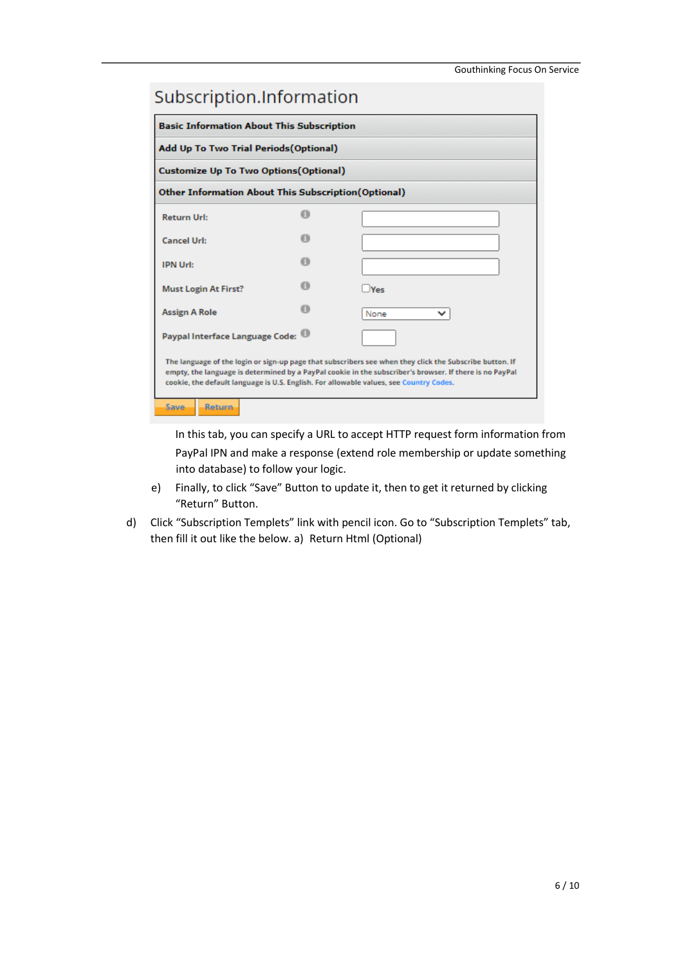| Subscription. Information                                                                                                                                                                                                                                                                                    |    |            |  |  |
|--------------------------------------------------------------------------------------------------------------------------------------------------------------------------------------------------------------------------------------------------------------------------------------------------------------|----|------------|--|--|
| <b>Basic Information About This Subscription</b>                                                                                                                                                                                                                                                             |    |            |  |  |
| Add Up To Two Trial Periods (Optional)                                                                                                                                                                                                                                                                       |    |            |  |  |
| <b>Customize Up To Two Options (Optional)</b>                                                                                                                                                                                                                                                                |    |            |  |  |
| Other Information About This Subscription(Optional)                                                                                                                                                                                                                                                          |    |            |  |  |
| <b>Return Url:</b>                                                                                                                                                                                                                                                                                           | m  |            |  |  |
| <b>Cancel Url:</b>                                                                                                                                                                                                                                                                                           | бЪ |            |  |  |
| <b>IPN Url:</b>                                                                                                                                                                                                                                                                                              | 63 |            |  |  |
| <b>Must Login At First?</b>                                                                                                                                                                                                                                                                                  | бħ | $ V_{PS} $ |  |  |
| <b>Assign A Role</b>                                                                                                                                                                                                                                                                                         |    | None<br>v  |  |  |
| Paypal Interface Language Code:                                                                                                                                                                                                                                                                              |    |            |  |  |
| The language of the login or sign-up page that subscribers see when they click the Subscribe button. If<br>empty, the language is determined by a PayPal cookie in the subscriber's browser. If there is no PayPal<br>cookie, the default language is U.S. English. For allowable values, see Country Codes. |    |            |  |  |
| Save.<br><b>Return</b>                                                                                                                                                                                                                                                                                       |    |            |  |  |

In this tab, you can specify a URL to accept HTTP request form information from PayPal IPN and make a response (extend role membership or update something into database) to follow your logic.

- e) Finally, to click "Save" Button to update it, then to get it returned by clicking "Return" Button.
- d) Click "Subscription Templets" link with pencil icon. Go to "Subscription Templets" tab, then fill it out like the below. a) Return Html (Optional)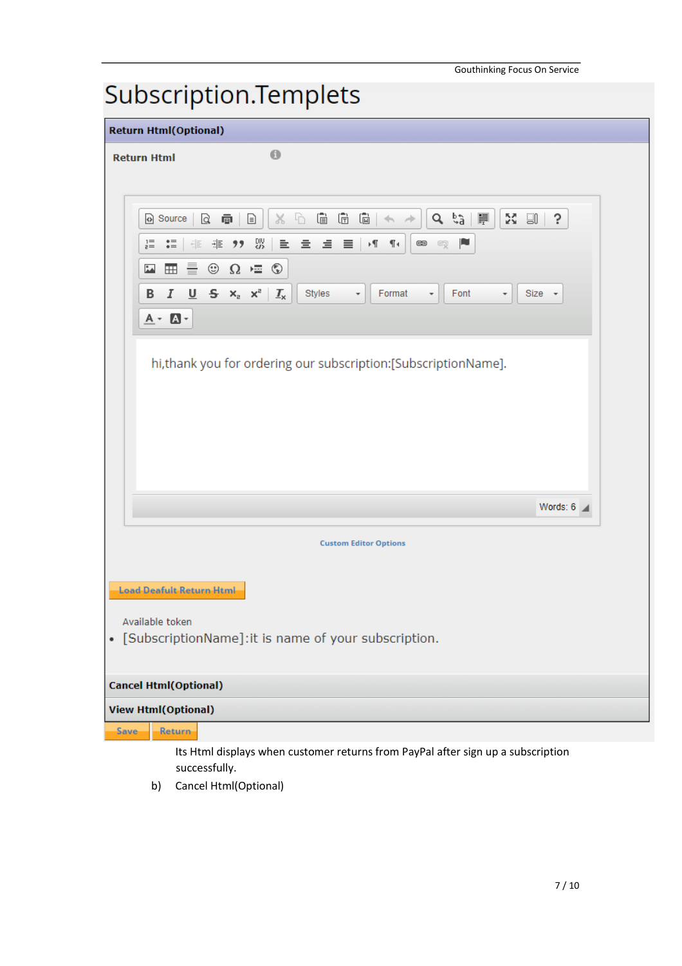# Subscription.Templets

| <b>Return Html(Optional)</b>                                                                                                                                                                                                               |  |  |  |  |  |  |
|--------------------------------------------------------------------------------------------------------------------------------------------------------------------------------------------------------------------------------------------|--|--|--|--|--|--|
| $\bullet$<br><b>Return Html</b>                                                                                                                                                                                                            |  |  |  |  |  |  |
|                                                                                                                                                                                                                                            |  |  |  |  |  |  |
|                                                                                                                                                                                                                                            |  |  |  |  |  |  |
| $\times$ $\circ$ $\circ$ $\circ$ $\circ$ $\circ$<br>9、第一章<br>23 GO H<br>S.<br>Source<br>$\leftrightarrow$                                                                                                                                  |  |  |  |  |  |  |
| 非 " 器 三<br>p<br>۰¶<br>$\P$<br>$\frac{1}{2} =$<br>$\mathop{\bullet}\limits^{\bullet\equiv}_{\bullet\equiv}$<br>量量量<br>$\bullet$<br>6                                                                                                        |  |  |  |  |  |  |
| $\equiv$ 0 $\Omega$ = 0<br>$\blacksquare$<br>۵A<br>$I \cup S \times_{e} x^{e}$<br>Styles<br>В<br>$\mathbf{I}_{\mathsf{x}}$<br>Format<br>Font<br>Size -<br>$\overline{\phantom{a}}$<br>$\overline{\phantom{a}}$<br>$\overline{\phantom{a}}$ |  |  |  |  |  |  |
| $A - B -$                                                                                                                                                                                                                                  |  |  |  |  |  |  |
|                                                                                                                                                                                                                                            |  |  |  |  |  |  |
| hi, thank you for ordering our subscription: [SubscriptionName].                                                                                                                                                                           |  |  |  |  |  |  |
|                                                                                                                                                                                                                                            |  |  |  |  |  |  |
|                                                                                                                                                                                                                                            |  |  |  |  |  |  |
|                                                                                                                                                                                                                                            |  |  |  |  |  |  |
|                                                                                                                                                                                                                                            |  |  |  |  |  |  |
|                                                                                                                                                                                                                                            |  |  |  |  |  |  |
| Words: $6 \angle$                                                                                                                                                                                                                          |  |  |  |  |  |  |
| <b>Custom Editor Options</b>                                                                                                                                                                                                               |  |  |  |  |  |  |
|                                                                                                                                                                                                                                            |  |  |  |  |  |  |
| <b>Load Deafult Return Html</b>                                                                                                                                                                                                            |  |  |  |  |  |  |
| Available token                                                                                                                                                                                                                            |  |  |  |  |  |  |
| • [SubscriptionName]: it is name of your subscription.                                                                                                                                                                                     |  |  |  |  |  |  |
|                                                                                                                                                                                                                                            |  |  |  |  |  |  |
| <b>Cancel Html(Optional)</b>                                                                                                                                                                                                               |  |  |  |  |  |  |
| <b>View Html(Optional)</b>                                                                                                                                                                                                                 |  |  |  |  |  |  |
| Return<br>Save<br>Its Html displays when customer returns from PayPal after sign up a subscription                                                                                                                                         |  |  |  |  |  |  |

successfully.

b) Cancel Html(Optional)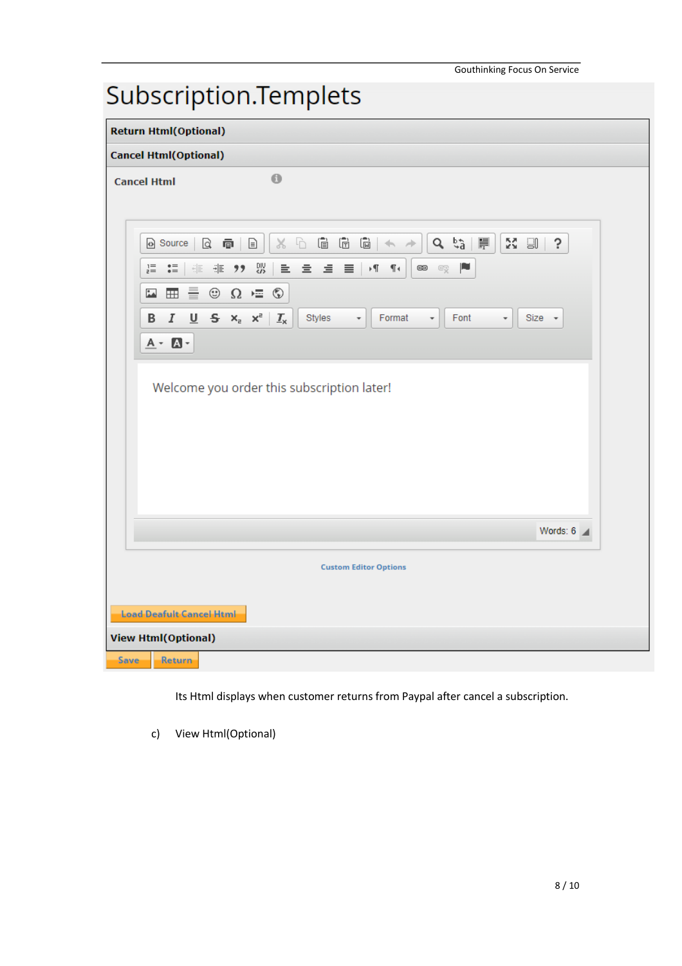# Subscription.Templets

| <b>Return Html(Optional)</b>                                                                                                                                                                                                                   |  |  |  |  |  |
|------------------------------------------------------------------------------------------------------------------------------------------------------------------------------------------------------------------------------------------------|--|--|--|--|--|
| <b>Cancel Html(Optional)</b>                                                                                                                                                                                                                   |  |  |  |  |  |
| $\bullet$<br><b>Cancel Html</b>                                                                                                                                                                                                                |  |  |  |  |  |
|                                                                                                                                                                                                                                                |  |  |  |  |  |
| $\bar{(\mathbb{E})}$<br>Ġ<br>$\begin{bmatrix} \overline{\mathbb{N}} \ \overline{\mathbb{N}} \end{bmatrix}$<br>$\sigma$ $\vec{r}$ $\equiv$<br>ħ<br>23 W<br>$\Box$<br>$\frac{1}{26}$<br>Ś.<br>Q @<br>o Source<br>$\leftrightarrow$ $\rightarrow$ |  |  |  |  |  |
| 앲<br>言<br>P<br>$\overset{\bullet}{\scriptscriptstyle\bullet}{}^\equiv_{\scriptscriptstyle\bullet}$<br>量量量<br>⊦¶<br>$\P_4$<br>œ<br>$i =$<br>非一分<br>$\mathcal{C}_{\mathbb{X}}^{\mathbb{Z}}$<br>6월                                                |  |  |  |  |  |
| $\circledcirc$ $\Omega$ $=$<br>$\overset{\circ}{\mathbb{A}}$<br>를.<br>$^\circledR$<br>$\begin{array}{c} \begin{array}{c} \text{H} \end{array} \end{array}$                                                                                     |  |  |  |  |  |
| $\underline{\mathsf{U}}$ 5 $x$ <sub>2</sub> $x$ <sup>2</sup><br>Styles<br>B<br>Ι<br>$\mathcal{I}_{\mathsf{x}}$<br>Format<br>Font<br>Size +<br>$\scriptstyle\rm w$<br>$\scriptstyle\rm v$<br>$\overline{\phantom{a}}$                           |  |  |  |  |  |
| $A - B -$                                                                                                                                                                                                                                      |  |  |  |  |  |
| Welcome you order this subscription later!                                                                                                                                                                                                     |  |  |  |  |  |
| Words: $6 -$                                                                                                                                                                                                                                   |  |  |  |  |  |
|                                                                                                                                                                                                                                                |  |  |  |  |  |
| <b>Custom Editor Options</b>                                                                                                                                                                                                                   |  |  |  |  |  |
| <b>Load Deafult Cancel Html</b>                                                                                                                                                                                                                |  |  |  |  |  |
| <b>View Html(Optional)</b>                                                                                                                                                                                                                     |  |  |  |  |  |
| Return<br><b>Save</b>                                                                                                                                                                                                                          |  |  |  |  |  |

Its Html displays when customer returns from Paypal after cancel a subscription.

c) View Html(Optional)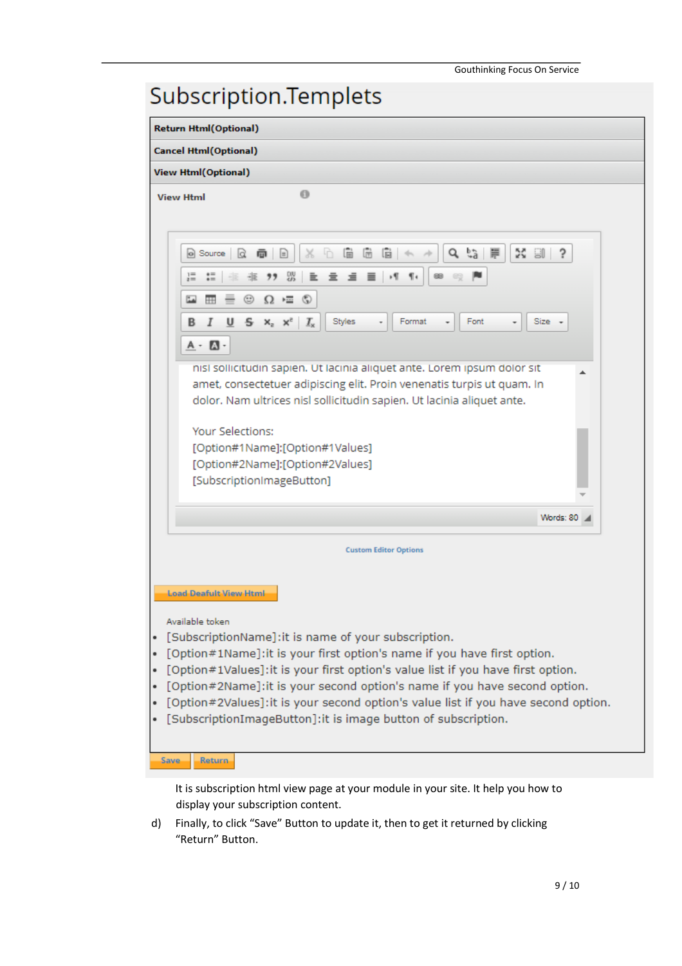| Subscription.Templets                                                                                                                                                                                                                                                                                                                                                                                                                                                                                                                        |  |  |  |  |  |
|----------------------------------------------------------------------------------------------------------------------------------------------------------------------------------------------------------------------------------------------------------------------------------------------------------------------------------------------------------------------------------------------------------------------------------------------------------------------------------------------------------------------------------------------|--|--|--|--|--|
| <b>Return Html(Optional)</b>                                                                                                                                                                                                                                                                                                                                                                                                                                                                                                                 |  |  |  |  |  |
| <b>Cancel Html(Optional)</b>                                                                                                                                                                                                                                                                                                                                                                                                                                                                                                                 |  |  |  |  |  |
| <b>View Html(Optional)</b>                                                                                                                                                                                                                                                                                                                                                                                                                                                                                                                   |  |  |  |  |  |
| o<br><b>View Html</b>                                                                                                                                                                                                                                                                                                                                                                                                                                                                                                                        |  |  |  |  |  |
| 临<br>Ĝ,<br>M.<br>個<br>扃<br>旱<br>$\Box$ ?<br>面<br>Q<br>o] Source<br>ld<br>$\equiv$<br>x                                                                                                                                                                                                                                                                                                                                                                                                                                                       |  |  |  |  |  |
| $\mathop{\mathsf{:=}}\limits$<br>맳<br>٠¶<br>T.<br>œ<br>≘<br>$i =$<br>$\Omega = \mathbb{Q}$<br>☺<br>لمنا<br>HH.<br>$=$                                                                                                                                                                                                                                                                                                                                                                                                                        |  |  |  |  |  |
| $\underline{\mathsf{U}}$<br>$S \times_{2}^{\infty}$<br>Styles<br>Font<br>Size<br>$I_{\rm x}$<br>Format<br>в                                                                                                                                                                                                                                                                                                                                                                                                                                  |  |  |  |  |  |
| $A - A$                                                                                                                                                                                                                                                                                                                                                                                                                                                                                                                                      |  |  |  |  |  |
| nisi sollicitudin sapien. Ut lacinia aliquet ante. Lorem ipsum dolor sit<br>amet, consectetuer adipiscing elit. Proin venenatis turpis ut quam. In<br>dolor. Nam ultrices nisl sollicitudin sapien. Ut lacinia aliquet ante.<br>Your Selections:<br>[Option#1Name]:[Option#1Values]<br>[Option#2Name]:[Option#2Values]<br>[SubscriptionImageButton]                                                                                                                                                                                          |  |  |  |  |  |
| Words: 80 / 1                                                                                                                                                                                                                                                                                                                                                                                                                                                                                                                                |  |  |  |  |  |
| <b>Custom Editor Options</b>                                                                                                                                                                                                                                                                                                                                                                                                                                                                                                                 |  |  |  |  |  |
| <b>Load Deafult View Html</b><br>Available token<br>[SubscriptionName]: it is name of your subscription.<br>٠<br>[Option#1Name]: it is your first option's name if you have first option.<br>٠<br>[Option#1Values]: it is your first option's value list if you have first option.<br>٠<br>[Option#2Name]: it is your second option's name if you have second option.<br>٠<br>[Option#2Values]: it is your second option's value list if you have second option.<br>٠<br>[SubscriptionImageButton]: it is image button of subscription.<br>٠ |  |  |  |  |  |
| <b>Save</b><br><b>Return</b>                                                                                                                                                                                                                                                                                                                                                                                                                                                                                                                 |  |  |  |  |  |

It is subscription html view page at your module in your site. It help you how to display your subscription content.

d) Finally, to click "Save" Button to update it, then to get it returned by clicking "Return" Button.